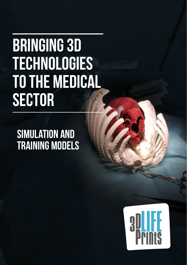# Bringing 3D **TECHNOLOGIES** to the medical **SECTOR**

# Simulation and Training Models

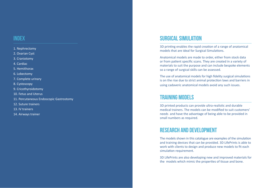#### **INDEX**

- 1. Nephrectomy
- 2. Ovarian Cyst
- 3. Craniotomy
- 4. Cardiac
- 5. Hemithorax
- 6. Lobectomy
- 7. Complete urinary
- 8. Cystoscopy
- 9. Cricothyroidotomy
- 10. Fetus and Uterus
- 11. Percutaneous Endoscopic Gastrostomy
- 12. Suture trainers
- 13. IV trainers
- 14. Airways trainer

#### SURGICAL SIMULATION

3D printing enables the rapid creation of a range of anatomical models that are ideal for Surgical Simulations.

Anatomical models are made to order, either from stock data or from patient specific scans. They are created in a variety of materials to suit the purpose and can include bespoke elements so a range of surgical skills can be assessed.

The use of anatomical models for high fidelity surgical simulations is on the rise due to strict animal protection laws and barriers in using cadaveric anatomical models avoid any such issues.

#### TRAINING MODELS

3D printed products can provide ultra-realistic and durable medical trainers. The models can be modified to suit customers' needs and have the advantage of being able to be provided in small numbers as required.

#### RESEARCH AND DEVELOPMENT

The models shown in this catalogue are examples of the simulation and training devices that can be provided. 3D LifePrints is able to work with clients to design and produce new models to fit each simulation requirement.

3D LifePrints are also developing new and improved materials for the models which mimic the properties of tissue and bone.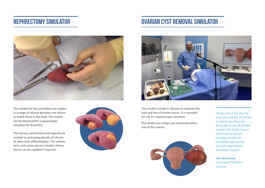## Nephrectomy simulator



The models for this simulation are created in a range of silicone densities and colours to match those in the body. The models can be placed within a laparoscopic simulator for dissection.

The tumour, parenchyma and capsule are created in contrasting density of silicone to allow clear differentiation. The arteries, veins and ureter can be included. Kidney stones can be supplied if required.



# Ovarian Cyst removal simulator



This model is made in silicone to replicate the look and feel of human tissue. It is intended for use in a laparoscopic simulator.

The model has a large cyst contained within one of the ovaries.



more you practise the better a surgeon you become. Being able to use 3D printed models that mimic tissues from bone to vessels provides us with an incredible opportunity to create high fidelity simulation models"

*Iain Hennessey Consultant Paediatric Surgeon*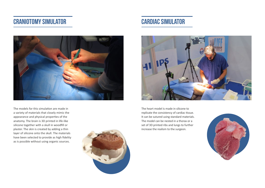## Craniotomy simulator





The models for this simulation are made in a variety of materials that closely mimic the appearance and physical properties of the anatomy. The brain is 3D printed in life-like silicone together with a skull in woodfill or plaster. The skin is created by adding a thin layer of silicone onto the skull. The materials have been selected to provide as high fidelity as is possible without using organic sources.





The heart model is made in silicone to replicate the consistency of cardiac tissue. It can be sutured using standard materials. The model can be nested in a thorax or a set of 3D printed ribs and lungs to further increase the realism to the surgeon.

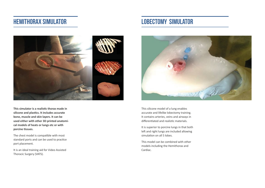#### Hemithorax simulator

# LOBECTOMY SIMULATOR



**This simulator is a realistic thorax made in silicone and plastics. It includes accurate bone, muscle and skin layers. It can be used either with other 3D printed anatomical models of heats or lungs etc or with porcine tissues.**

The chest model is compatible with most standard ports and can be used to practice port placement.

It is an ideal training aid for Video Assisted Thoracic Surgery (VATS).



This silicone model of a lung enables accurate and lifelike lobectomy training. It contains arteries, veins and airways in differentiated and realistic materials.

It is superior to porcine lungs in that both left and right lungs are included allowing simulation on all 5 lobes.

This model can be combined with other models including the Hemithorax and Cardiac.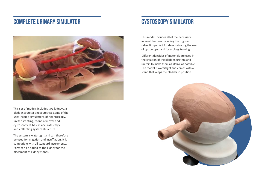#### Complete urinary simulator



This set of models includes two kidneys, a bladder, a ureter and a urethra. Some of the uses include simulations of nephroscopy, ureter stenting, stone removal and cystoscopy. It has as accurate calyx and collecting system structure.

The system is watertight and can therefore be used for irrigation and insufflation. It is compatible with all standard instruments. Ports can be added to the kidney for the placement of kidney stones.

#### Cystoscopy simulator

This model includes all of the necessary internal features including the trigonal ridge. It is perfect for demonstrating the use of cystoscopes and for urology training.

Different densities of materials are used in the creation of the bladder, urethra and ureters to make them as lifelike as possible. The model is watertight and comes with a stand that keeps the bladder in position.

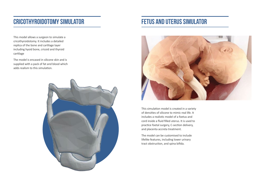# Cricothyroidotomy simulator

This model allows a surgeon to simulate a cricothyroidotomy. It includes a detailed replica of the bone and cartilage layer including hyoid bone, cricoid and thyroid cartilage

The model is encased in silicone skin and is supplied with a pack of fat and blood which adds realism to this simulation.



## Fetus and Uterus simulator



This simulation model is created in a variety of densities of silicone to mimic real life. It includes a realistic model of a foetus and cord inside a fluid filled uterus. It is used to practice foetal surgery, C-section delivery, and placenta accreta treatment.

The model can be customised to include lifelike features, including lower urinary tract obstruction, and spina bifida.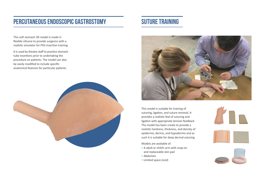# Percutaneous Endoscopic Gastrostomy

This soft stomach 3D model is made in flexible silicone to provide surgeons with a realistic simulator for PEG insertion training.

It is used by theatre staff to practice stomach tube insertions prior to undertaking the procedure on patients. The model can also be easily modified to include specific anatomical features for particular patients.



# SUTURE TRAINING



This model is suitable for training of suturing, ligation, and suture removal. It provides a realistic feel of suturing and ligation with appropriate tension feedback The model has been create to provide a realistic hardness, thickness, and density of epidermis, dermis, and hypodermis and as such it is suitable for deep dermal suturing.

Models are available of:

- A adult or child's arm with snap-on and replaceable skin pad
- Abdomen
- Limited space (oral)

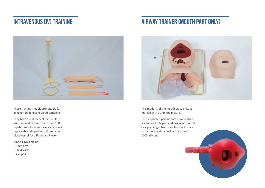# Intravenous (IV) TRAINING

# airway trainer (MOUTH PART ONLY)



These training models are suitable for injection training and blood sampling.

They have a realistic feel for needle insertion and can withstand over 100 repetitions. The arms have a snap-on and replaceable skin pad with three types of blood vessel for different skill levels.

Models available of:

- Adult arm
- Child's arm
- skin pad



This model is of the mouth piece only, as marked with a 1 on the picture.

This 3D printed part is more durable than a standard OEM part and has incorporated design changes from user feedback. It also has a more realistic feel as it is printed in 100% silicone

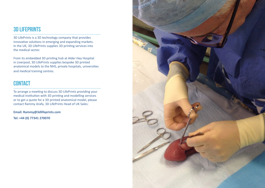#### 3D LIFEPRINTS

3D LifePrints is a 3D technology company that provides innovative solutions in emerging and expanding markets. In the UK, 3D LifePrints supplies 3D printing services into the medical sector.

From its embedded 3D printing hub at Alder Hey Hospital in Liverpool, 3D LifePrints supplies bespoke 3D printed anatomical models to the NHS, private hospitals, universities and medical training centres.

#### **CONTACT**

To arrange a meeting to discuss 3D LifePrints providing your medical institution with 3D printing and modelling services or to get a quote for a 3D printed anatomical model, please contact Rammy Arafa, 3D LifePrints Head of UK Sales:

**Email: Rammy@3dlifeprints.com**

**Tel: +44 (0) 77341 270070**